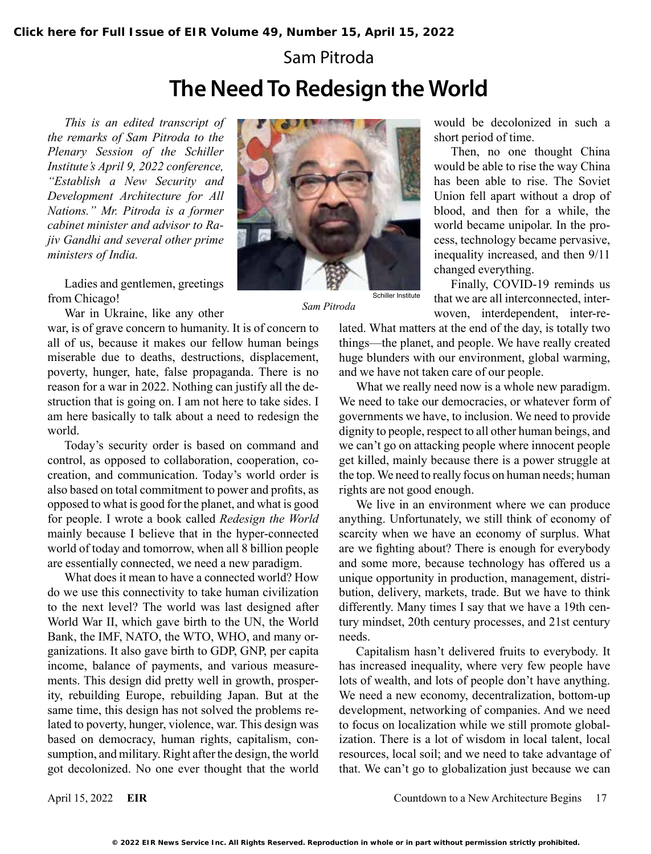## Sam Pitroda **The Need To Redesign the World**

*This is an edited transcript of the remarks of Sam Pitroda to the Plenary Session of the Schiller Institute's April 9, 2022 conference, "Establish a New Security and Development Architecture for All Nations." Mr. Pitroda is a former cabinet minister and advisor to Rajiv Gandhi and several other prime ministers of India.*

Ladies and gentlemen, greetings from Chicago!

War in Ukraine, like any other

war, is of grave concern to humanity. It is of concern to all of us, because it makes our fellow human beings miserable due to deaths, destructions, displacement, poverty, hunger, hate, false propaganda. There is no reason for a war in 2022. Nothing can justify all the destruction that is going on. I am not here to take sides. I am here basically to talk about a need to redesign the world.

Today's security order is based on command and control, as opposed to collaboration, cooperation, cocreation, and communication. Today's world order is also based on total commitment to power and profits, as opposed to what is good for the planet, and what is good for people. I wrote a book called *Redesign the World* mainly because I believe that in the hyper-connected world of today and tomorrow, when all 8 billion people are essentially connected, we need a new paradigm.

What does it mean to have a connected world? How do we use this connectivity to take human civilization to the next level? The world was last designed after World War II, which gave birth to the UN, the World Bank, the IMF, NATO, the WTO, WHO, and many organizations. It also gave birth to GDP, GNP, per capita income, balance of payments, and various measurements. This design did pretty well in growth, prosperity, rebuilding Europe, rebuilding Japan. But at the same time, this design has not solved the problems related to poverty, hunger, violence, war. This design was based on democracy, human rights, capitalism, consumption, and military. Right after the design, the world got decolonized. No one ever thought that the world



*Sam Pitroda*

would be decolonized in such a short period of time.

Then, no one thought China would be able to rise the way China has been able to rise. The Soviet Union fell apart without a drop of blood, and then for a while, the world became unipolar. In the process, technology became pervasive, inequality increased, and then 9/11 changed everything.

Finally, COVID-19 reminds us that we are all interconnected, interwoven, interdependent, inter-re-

lated. What matters at the end of the day, is totally two things—the planet, and people. We have really created huge blunders with our environment, global warming, and we have not taken care of our people.

What we really need now is a whole new paradigm. We need to take our democracies, or whatever form of governments we have, to inclusion. We need to provide dignity to people, respect to all other human beings, and we can't go on attacking people where innocent people get killed, mainly because there is a power struggle at the top. We need to really focus on human needs; human rights are not good enough.

We live in an environment where we can produce anything. Unfortunately, we still think of economy of scarcity when we have an economy of surplus. What are we fighting about? There is enough for everybody and some more, because technology has offered us a unique opportunity in production, management, distribution, delivery, markets, trade. But we have to think differently. Many times I say that we have a 19th century mindset, 20th century processes, and 21st century needs.

Capitalism hasn't delivered fruits to everybody. It has increased inequality, where very few people have lots of wealth, and lots of people don't have anything. We need a new economy, decentralization, bottom-up development, networking of companies. And we need to focus on localization while we still promote globalization. There is a lot of wisdom in local talent, local resources, local soil; and we need to take advantage of that. We can't go to globalization just because we can